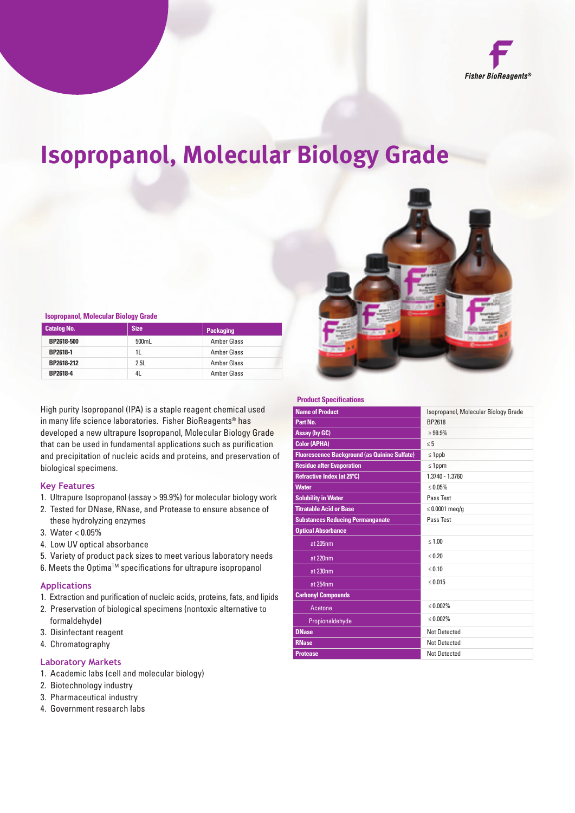

# **Isopropanol, Molecular Biology Grade**



#### **Isopropanol, Molecular Biology Grade**

| <b>Catalog No.</b> | <b>Size</b> | <b>Packaging</b>   |
|--------------------|-------------|--------------------|
| BP2618-500         | 500mL       | <b>Amber Glass</b> |
| BP2618-1           | 11.         | <b>Amber Glass</b> |
| BP2618-212         | 2.5L        | Amber Glass        |
| BP2618-4           | 4L          | Amber Glass        |

High purity Isopropanol (IPA) is a staple reagent chemical used in many life science laboratories. Fisher BioReagents® has developed a new ultrapure Isopropanol, Molecular Biology Grade that can be used in fundamental applications such as purification and precipitation of nucleic acids and proteins, and preservation of biological specimens.

# **Key Features**

- 1. Ultrapure Isopropanol (assay > 99.9%) for molecular biology work
- 2. Tested for DNase, RNase, and Protease to ensure absence of these hydrolyzing enzymes
- 3. Water < 0.05%
- 4. Low UV optical absorbance
- 5. Variety of product pack sizes to meet various laboratory needs
- 6. Meets the Optima™ specifications for ultrapure isopropanol

### **Applications**

- 1. Extraction and purification of nucleic acids, proteins, fats, and lipids
- 2. Preservation of biological specimens (nontoxic alternative to formaldehyde)
- 3. Disinfectant reagent
- 4. Chromatography

#### **Laboratory Markets**

- 1. Academic labs (cell and molecular biology)
- 2. Biotechnology industry
- 3. Pharmaceutical industry
- 4. Government research labs

#### **Product Specifications**

| <b>Name of Product</b>                              | Isopropanol, Molecular Biology Grade |
|-----------------------------------------------------|--------------------------------------|
| Part No.                                            | <b>RP2618</b>                        |
| <b>Assay (by GC)</b>                                | $>99.9\%$                            |
| <b>Color (APHA)</b>                                 | $\leq 5$                             |
| <b>Fluorescence Background (as Quinine Sulfate)</b> | $\leq$ 1ppb                          |
| <b>Residue after Evaporation</b>                    | $\leq$ 1ppm                          |
| Refractive Index (at 25°C)                          | 1.3740 - 1.3760                      |
| <b>Water</b>                                        | $\leq 0.05\%$                        |
| <b>Solubility in Water</b>                          | Pass Test                            |
| <b>Titratable Acid or Base</b>                      | $\leq 0.0001$ meg/g                  |
| <b>Substances Reducing Permanganate</b>             | Pass Test                            |
| <b>Optical Absorbance</b>                           |                                      |
| at 205nm                                            | $\leq 1.00$                          |
| at 220nm                                            | $\leq 0.20$                          |
| at 230nm                                            | $\leq 0.10$                          |
| at 254nm                                            | $\leq 0.015$                         |
| <b>Carbonyl Compounds</b>                           |                                      |
| Acetone                                             | $\leq 0.002\%$                       |
| Propionaldehyde                                     | $\leq 0.002\%$                       |
| <b>DNase</b>                                        | <b>Not Detected</b>                  |
| <b>RNase</b>                                        | <b>Not Detected</b>                  |
| <b>Protease</b>                                     | <b>Not Detected</b>                  |